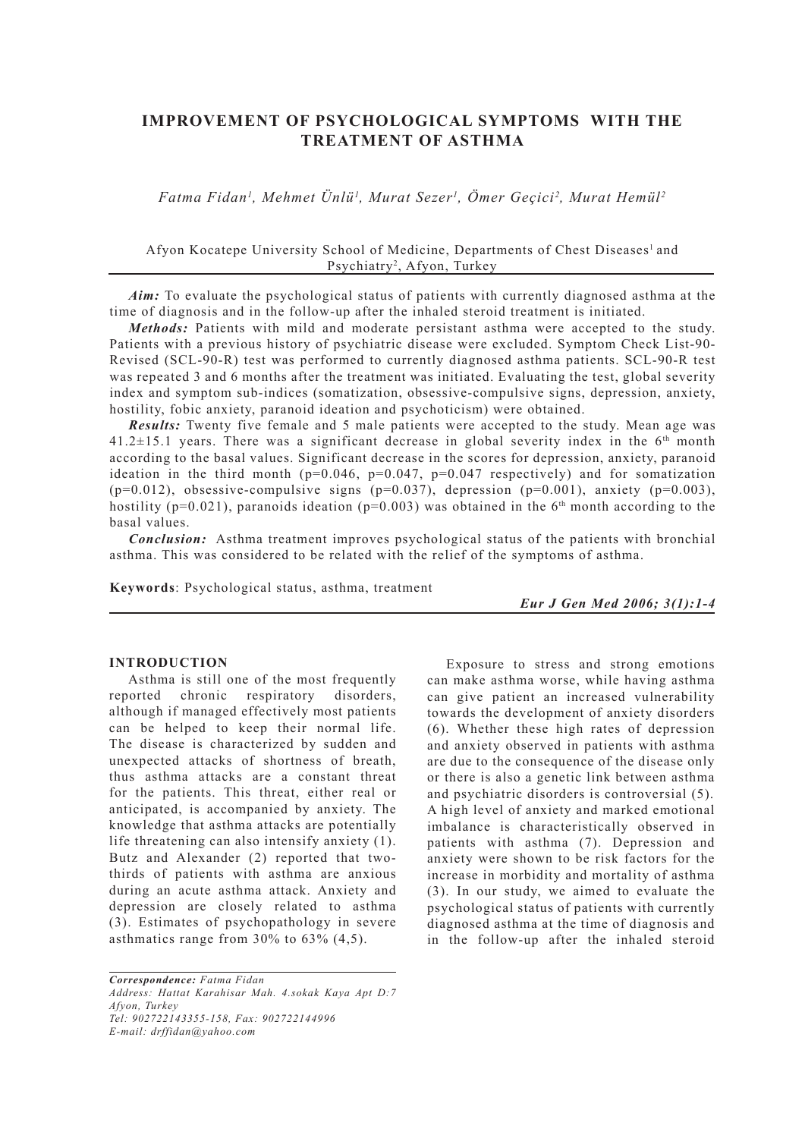# **IMPROVEMENT OF PSYCHOLOGICAL SYMPTOMS WITH THE TREATMENT OF ASTHMA**

*Fatma Fidan1 , Mehmet Ünlü1 , Murat Sezer1 , Ömer Geçici2 , Murat Hemül2* 

Afyon Kocatepe University School of Medicine, Departments of Chest Diseases<sup>1</sup> and Psychiatry<sup>2</sup>, Afyon, Turkey

*Aim:* To evaluate the psychological status of patients with currently diagnosed asthma at the time of diagnosis and in the follow-up after the inhaled steroid treatment is initiated.

*Methods:* Patients with mild and moderate persistant asthma were accepted to the study. Patients with a previous history of psychiatric disease were excluded. Symptom Check List-90- Revised (SCL-90-R) test was performed to currently diagnosed asthma patients. SCL-90-R test was repeated 3 and 6 months after the treatment was initiated. Evaluating the test, global severity index and symptom sub-indices (somatization, obsessive-compulsive signs, depression, anxiety, hostility, fobic anxiety, paranoid ideation and psychoticism) were obtained.

*Results:* Twenty five female and 5 male patients were accepted to the study. Mean age was  $41.2 \pm 15.1$  years. There was a significant decrease in global severity index in the 6<sup>th</sup> month according to the basal values. Significant decrease in the scores for depression, anxiety, paranoid ideation in the third month ( $p=0.046$ ,  $p=0.047$ ,  $p=0.047$  respectively) and for somatization  $(p=0.012)$ , obsessive-compulsive signs  $(p=0.037)$ , depression  $(p=0.001)$ , anxiety  $(p=0.003)$ , hostility ( $p=0.021$ ), paranoids ideation ( $p=0.003$ ) was obtained in the 6<sup>th</sup> month according to the basal values.

*Conclusion:* Asthma treatment improves psychological status of the patients with bronchial asthma. This was considered to be related with the relief of the symptoms of asthma.

**Keywords**: Psychological status, asthma, treatment

*Eur J Gen Med 2006; 3(1):1-4* 

#### **INTRODUCTION**

Asthma is still one of the most frequently reported chronic respiratory disorders, although if managed effectively most patients can be helped to keep their normal life. The disease is characterized by sudden and unexpected attacks of shortness of breath, thus asthma attacks are a constant threat for the patients. This threat, either real or anticipated, is accompanied by anxiety. The knowledge that asthma attacks are potentially life threatening can also intensify anxiety (1). Butz and Alexander (2) reported that twothirds of patients with asthma are anxious during an acute asthma attack. Anxiety and depression are closely related to asthma (3). Estimates of psychopathology in severe asthmatics range from 30% to 63% (4,5).

*Correspondence: Fatma Fidan Address: Hattat Karahisar Mah. 4.sokak Kaya Apt D:7 Afyon, Turkey Tel: 902722143355-158, Fax: 902722144996 E-mail: drffidan@yahoo.com*

Exposure to stress and strong emotions can make asthma worse, while having asthma can give patient an increased vulnerability towards the development of anxiety disorders (6). Whether these high rates of depression and anxiety observed in patients with asthma are due to the consequence of the disease only or there is also a genetic link between asthma and psychiatric disorders is controversial (5). A high level of anxiety and marked emotional imbalance is characteristically observed in patients with asthma (7). Depression and anxiety were shown to be risk factors for the increase in morbidity and mortality of asthma (3). In our study, we aimed to evaluate the psychological status of patients with currently diagnosed asthma at the time of diagnosis and in the follow-up after the inhaled steroid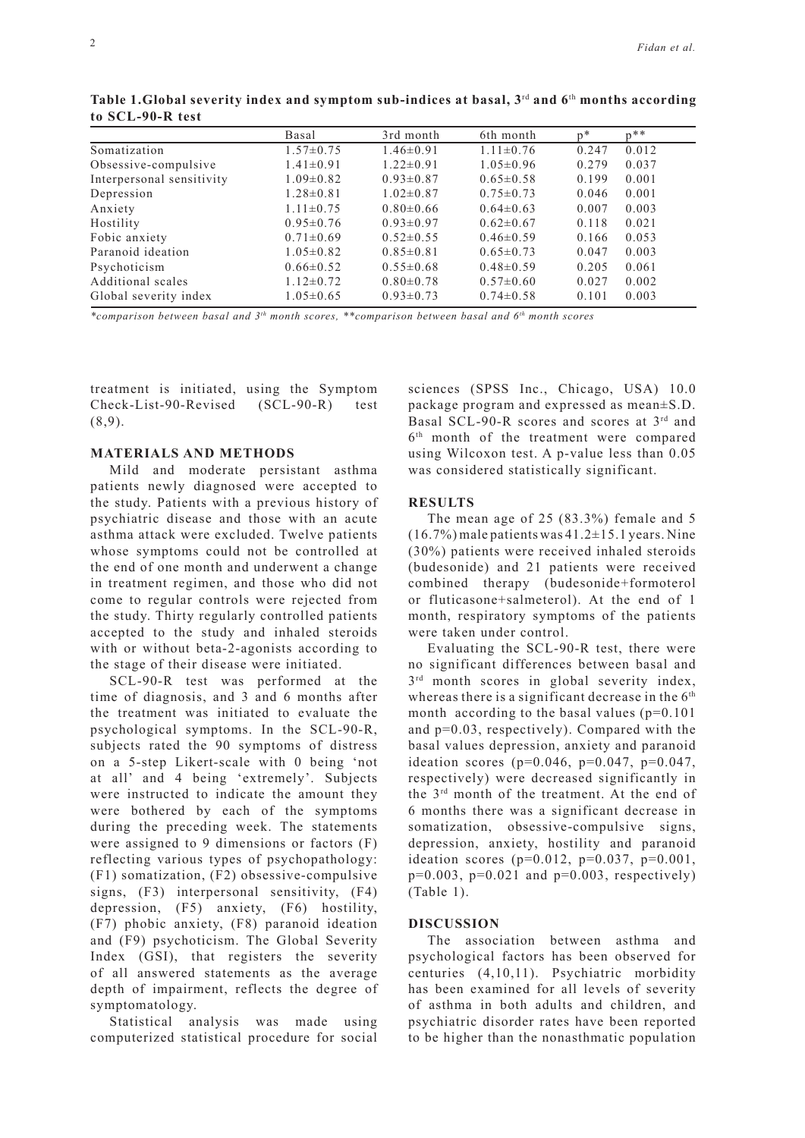|                           | Basal           | 3rd month       | 6th month       | $n*$  | $n**$ |
|---------------------------|-----------------|-----------------|-----------------|-------|-------|
| Somatization              | $1.57 \pm 0.75$ | $1.46 \pm 0.91$ | $1.11 \pm 0.76$ | 0.247 | 0.012 |
| Obsessive-compulsive      | $1.41 \pm 0.91$ | $1.22 \pm 0.91$ | $1.05 \pm 0.96$ | 0.279 | 0.037 |
| Interpersonal sensitivity | $1.09 \pm 0.82$ | $0.93 \pm 0.87$ | $0.65 \pm 0.58$ | 0.199 | 0.001 |
| Depression                | $1.28 \pm 0.81$ | $1.02 \pm 0.87$ | $0.75 \pm 0.73$ | 0.046 | 0.001 |
| Anxiety                   | $1.11 \pm 0.75$ | $0.80\pm0.66$   | $0.64\pm0.63$   | 0.007 | 0.003 |
| Hostility                 | $0.95 \pm 0.76$ | $0.93 \pm 0.97$ | $0.62\pm0.67$   | 0.118 | 0.021 |
| Fobic anxiety             | $0.71 \pm 0.69$ | $0.52\pm0.55$   | $0.46\pm0.59$   | 0.166 | 0.053 |
| Paranoid ideation         | $1.05 \pm 0.82$ | $0.85 \pm 0.81$ | $0.65 \pm 0.73$ | 0.047 | 0.003 |
| Psychoticism              | $0.66 \pm 0.52$ | $0.55 \pm 0.68$ | $0.48 \pm 0.59$ | 0.205 | 0.061 |
| Additional scales         | $1.12\pm0.72$   | $0.80 \pm 0.78$ | $0.57 \pm 0.60$ | 0.027 | 0.002 |
| Global severity index     | $1.05 \pm 0.65$ | $0.93 \pm 0.73$ | $0.74 \pm 0.58$ | 0.101 | 0.003 |

Table 1. Global severity index and symptom sub-indices at basal, 3<sup>rd</sup> and 6<sup>th</sup> months according **to SCL-90-R test**

*\*comparison between basal and 3th month scores, \*\*comparison between basal and 6th month scores* 

treatment is initiated, using the Symptom Check-List-90-Revised (SCL-90-R) test  $(8,9)$ .

# **MATERIALS AND METHODS**

Mild and moderate persistant asthma patients newly diagnosed were accepted to the study. Patients with a previous history of psychiatric disease and those with an acute asthma attack were excluded. Twelve patients whose symptoms could not be controlled at the end of one month and underwent a change in treatment regimen, and those who did not come to regular controls were rejected from the study. Thirty regularly controlled patients accepted to the study and inhaled steroids with or without beta-2-agonists according to the stage of their disease were initiated.

SCL-90-R test was performed at the time of diagnosis, and 3 and 6 months after the treatment was initiated to evaluate the psychological symptoms. In the SCL-90-R, subjects rated the 90 symptoms of distress on a 5-step Likert-scale with 0 being 'not at all' and 4 being 'extremely'. Subjects were instructed to indicate the amount they were bothered by each of the symptoms during the preceding week. The statements were assigned to 9 dimensions or factors (F) reflecting various types of psychopathology: (F1) somatization, (F2) obsessive-compulsive signs, (F3) interpersonal sensitivity, (F4) depression, (F5) anxiety, (F6) hostility, (F7) phobic anxiety, (F8) paranoid ideation and (F9) psychoticism. The Global Severity Index (GSI), that registers the severity of all answered statements as the average depth of impairment, reflects the degree of symptomatology.

Statistical analysis was made using computerized statistical procedure for social sciences (SPSS Inc., Chicago, USA) 10.0 package program and expressed as mean±S.D. Basal SCL-90-R scores and scores at 3rd and 6th month of the treatment were compared using Wilcoxon test. A p-value less than 0.05 was considered statistically significant.

# **RESULTS**

The mean age of 25 (83.3%) female and 5  $(16.7\%)$  male patients was  $41.2\pm15.1$  years. Nine (30%) patients were received inhaled steroids (budesonide) and 21 patients were received combined therapy (budesonide+formoterol or fluticasone+salmeterol). At the end of 1 month, respiratory symptoms of the patients were taken under control.

Evaluating the SCL-90-R test, there were no significant differences between basal and  $3<sup>rd</sup>$  month scores in global severity index, whereas there is a significant decrease in the  $6<sup>th</sup>$ month according to the basal values  $(p=0.101)$ and p=0.03, respectively). Compared with the basal values depression, anxiety and paranoid ideation scores ( $p=0.046$ ,  $p=0.047$ ,  $p=0.047$ , respectively) were decreased significantly in the 3rd month of the treatment. At the end of 6 months there was a significant decrease in somatization, obsessive-compulsive signs, depression, anxiety, hostility and paranoid ideation scores (p=0.012, p=0.037, p=0.001,  $p=0.003$ ,  $p=0.021$  and  $p=0.003$ , respectively) (Table 1).

# **DISCUSSION**

The association between asthma and psychological factors has been observed for centuries (4,10,11). Psychiatric morbidity has been examined for all levels of severity of asthma in both adults and children, and psychiatric disorder rates have been reported to be higher than the nonasthmatic population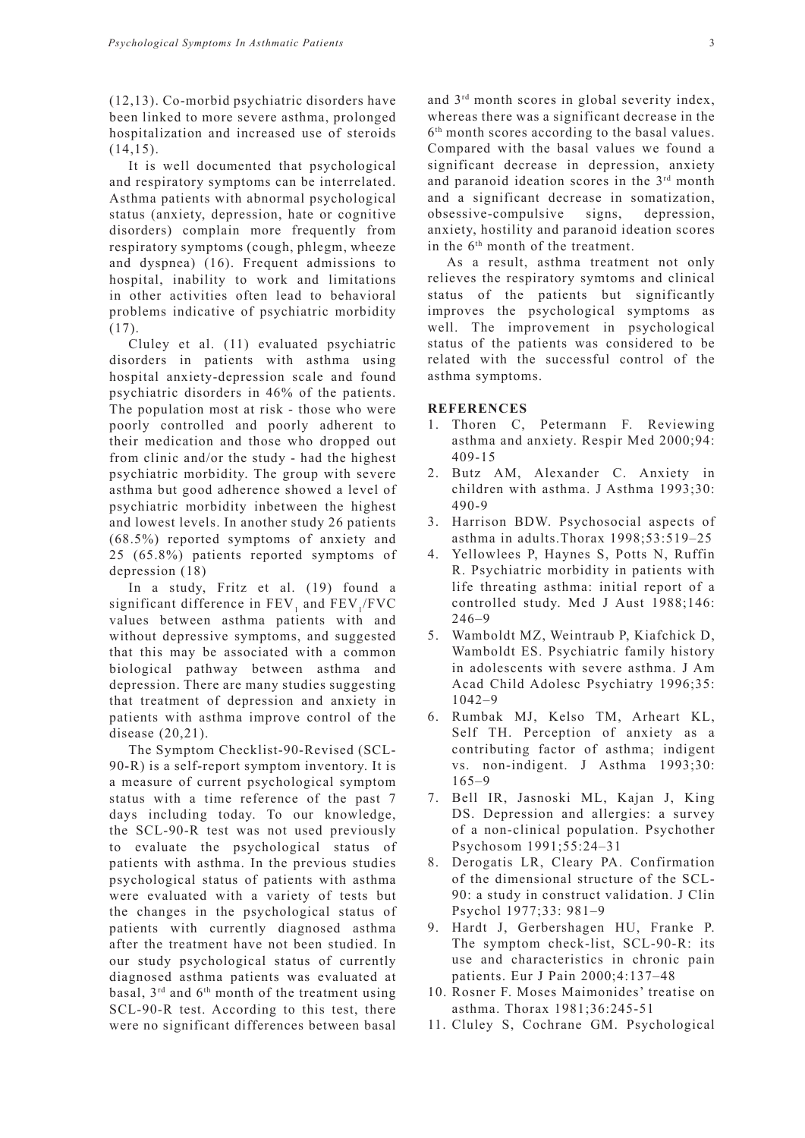(12,13). Co-morbid psychiatric disorders have been linked to more severe asthma, prolonged hospitalization and increased use of steroids  $(14,15)$ .

It is well documented that psychological and respiratory symptoms can be interrelated. Asthma patients with abnormal psychological status (anxiety, depression, hate or cognitive disorders) complain more frequently from respiratory symptoms (cough, phlegm, wheeze and dyspnea) (16). Frequent admissions to hospital, inability to work and limitations in other activities often lead to behavioral problems indicative of psychiatric morbidity (17).

Cluley et al. (11) evaluated psychiatric disorders in patients with asthma using hospital anxiety-depression scale and found psychiatric disorders in 46% of the patients. The population most at risk - those who were poorly controlled and poorly adherent to their medication and those who dropped out from clinic and/or the study - had the highest psychiatric morbidity. The group with severe asthma but good adherence showed a level of psychiatric morbidity inbetween the highest and lowest levels. In another study 26 patients (68.5%) reported symptoms of anxiety and 25 (65.8%) patients reported symptoms of depression (18)

In a study, Fritz et al. (19) found a significant difference in  $\text{FEV}_1$  and  $\text{FEV}_1/\text{FVC}$ values between asthma patients with and without depressive symptoms, and suggested that this may be associated with a common biological pathway between asthma and depression. There are many studies suggesting that treatment of depression and anxiety in patients with asthma improve control of the disease (20,21).

The Symptom Checklist-90-Revised (SCL-90-R) is a self-report symptom inventory. It is a measure of current psychological symptom status with a time reference of the past 7 days including today. To our knowledge, the SCL-90-R test was not used previously to evaluate the psychological status of patients with asthma. In the previous studies psychological status of patients with asthma were evaluated with a variety of tests but the changes in the psychological status of patients with currently diagnosed asthma after the treatment have not been studied. In our study psychological status of currently diagnosed asthma patients was evaluated at basal,  $3<sup>rd</sup>$  and  $6<sup>th</sup>$  month of the treatment using SCL-90-R test. According to this test, there were no significant differences between basal and 3rd month scores in global severity index, whereas there was a significant decrease in the 6th month scores according to the basal values. Compared with the basal values we found a significant decrease in depression, anxiety and paranoid ideation scores in the  $3<sup>rd</sup>$  month and a significant decrease in somatization, obsessive-compulsive signs, depression, anxiety, hostility and paranoid ideation scores in the 6th month of the treatment.

As a result, asthma treatment not only relieves the respiratory symtoms and clinical status of the patients but significantly improves the psychological symptoms as well. The improvement in psychological status of the patients was considered to be related with the successful control of the asthma symptoms.

# **REFERENCES**

- 1. Thoren C, Petermann F. Reviewing asthma and anxiety. Respir Med 2000;94: 409-15
- 2. Butz AM, Alexander C. Anxiety in children with asthma. J Asthma 1993;30: 490-9
- 3. Harrison BDW. Psychosocial aspects of asthma in adults.Thorax 1998;53:519–25
- 4. Yellowlees P, Haynes S, Potts N, Ruffin R. Psychiatric morbidity in patients with life threating asthma: initial report of a controlled study. Med J Aust 1988;146: 246–9
- 5. Wamboldt MZ, Weintraub P, Kiafchick D, Wamboldt ES. Psychiatric family history in adolescents with severe asthma. J Am Acad Child Adolesc Psychiatry 1996;35: 1042–9
- 6. Rumbak MJ, Kelso TM, Arheart KL, Self TH. Perception of anxiety as a contributing factor of asthma; indigent vs. non-indigent. J Asthma 1993;30: 165–9
- 7. Bell IR, Jasnoski ML, Kajan J, King DS. Depression and allergies: a survey of a non-clinical population. Psychother Psychosom 1991;55:24–31
- 8. Derogatis LR, Cleary PA. Confirmation of the dimensional structure of the SCL-90: a study in construct validation. J Clin Psychol 1977;33: 981–9
- 9. Hardt J, Gerbershagen HU, Franke P. The symptom check-list, SCL-90-R: its use and characteristics in chronic pain patients. Eur J Pain 2000;4:137–48
- 10. Rosner F. Moses Maimonides' treatise on asthma. Thorax 1981;36:245-51
- 11. Cluley S, Cochrane GM. Psychological